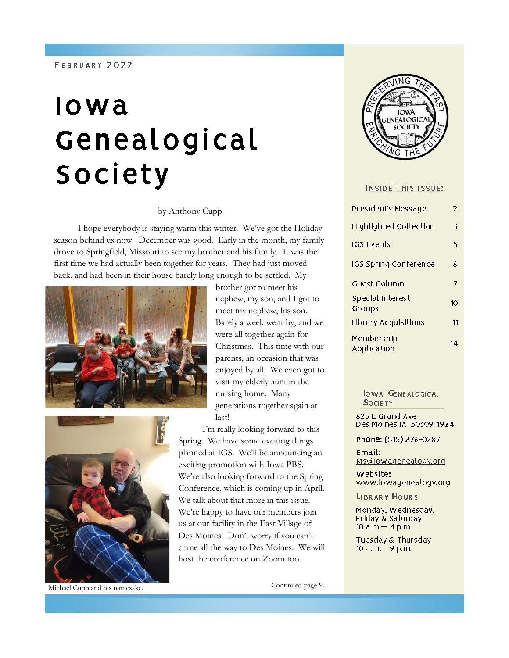#### FEBRUARY 2022

# lowa Genealogical Society

#### by Anthony Cupp

I hope everybody is staying warm this winter. We've got the Holiday season behind us now. December was good. Early in the month, my family drove to Springfield, Missouri to see my brother and his family. It was the first time we had actually been together for years. They had just moved back, and had been in their house barely long enough to be settled. My





Michael Cupp and his namesake. Continued page 9.

brother got to meet his nephew, my son, and I got to meet my nephew, his son. Barely a week went by, and we were all together again for Christmas. This time with our parents, an occasion that was enjoyed by all. We even got to visit my elderly aunt in the nursing home. Many generations together again at last!

I'm really looking forward to this Spring. We have some exciting things planned at IGS. We'll be announcing an exciting promotion with Iowa PBS. We're also looking forward to the Spring Conference, which is coming up in April. We talk about that more in this issue. We're happy to have our members join us at our facility in the East Village of Des Moines. Don't worry if you can't come all the way to Des Moines. We will host the conference on Zoom too.



#### **INSIDE THIS ISSUE:**

| President's Message        | 2  |
|----------------------------|----|
| Highlighted Collection     | 3  |
| IGS Events                 | 5  |
| IGS Spring Conference      | 6  |
| Guest Column               | 7  |
| Special Interest<br>Groups | 10 |
| Library Acquisitions       | 11 |
| Membership<br>Application  | 14 |

**IOWA GENEALOGICAL SOCIETY** 

628 E Grand Ave Des Moines IA 50309-1924

Phone: (515) 276-0287

Email: igs@iowagenealogy.org

website: www.lowagenealogy.org

LIBRARY HOURS

Monday, Wednesday, Friday & Saturday 10  $a.m - 4 p.m.$ 

Tuesday & Thursday 10 a.m.-9 p.m.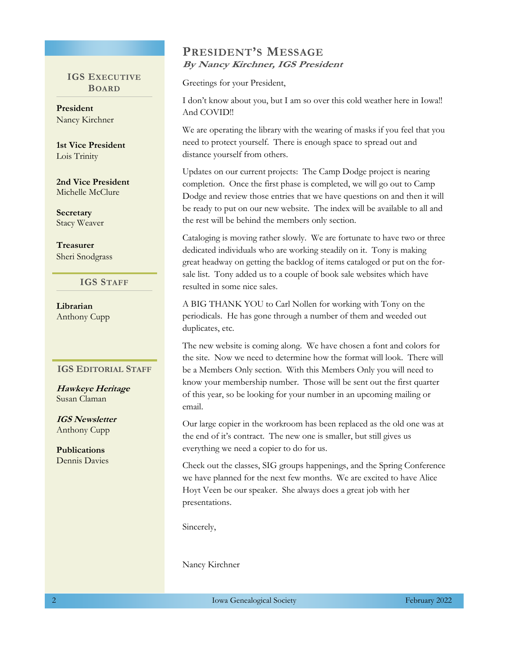#### $\overline{\mathbf{G}}$ BOARD **IGS EXECUTIVE**

**President** Nancy Kirchner

**1st Vice President** Lois Trinity and Lois Library and Lois Library and Library and Library and Library and Library and Library and

**2nd Vice President** Michelle McClure

**Secretary** Stacy Weaver

asurer<br>Saturday & Saturday & Saturday & Saturday & Saturday & Saturday & Saturday & Saturday & Saturday & Saturday & Sheri Snodgrass **Treasurer**

> $\blacksquare$  **IGS STAFF** 9 a.m. - 9 p.m.

**Librarian** Anthony Cupp

#### **IGS EDITORIAL STAFF**

**Hawkeye Heritage** Susan Claman

**IGS Newsletter** Anthony Cupp

**Publications** Dennis Davies

### **PRESIDENT'S MESSAGE** By Nancy Kirchner, IGS President

Greetings for your President,

I don't know about you, but I am so over this cold weather here in Iowa!! And COVID!!

We are operating the library with the wearing of masks if you feel that you need to protect yourself. There is enough space to spread out and distance yourself from others.

Updates on our current projects: The Camp Dodge project is nearing completion. Once the first phase is completed, we will go out to Camp Dodge and review those entries that we have questions on and then it will be ready to put on our new website. The index will be available to all and the rest will be behind the members only section.

Cataloging is moving rather slowly. We are fortunate to have two or three dedicated individuals who are working steadily on it. Tony is making great headway on getting the backlog of items cataloged or put on the forsale list. Tony added us to a couple of book sale websites which have resulted in some nice sales.

A BIG THANK YOU to Carl Nollen for working with Tony on the periodicals. He has gone through a number of them and weeded out duplicates, etc.

The new website is coming along. We have chosen a font and colors for the site. Now we need to determine how the format will look. There will be a Members Only section. With this Members Only you will need to know your membership number. Those will be sent out the first quarter of this year, so be looking for your number in an upcoming mailing or email.

Our large copier in the workroom has been replaced as the old one was at the end of it's contract. The new one is smaller, but still gives us everything we need a copier to do for us.

Check out the classes, SIG groups happenings, and the Spring Conference we have planned for the next few months. We are excited to have Alice Hoyt Veen be our speaker. She always does a great job with her presentations.

Sincerely,

Nancy Kirchner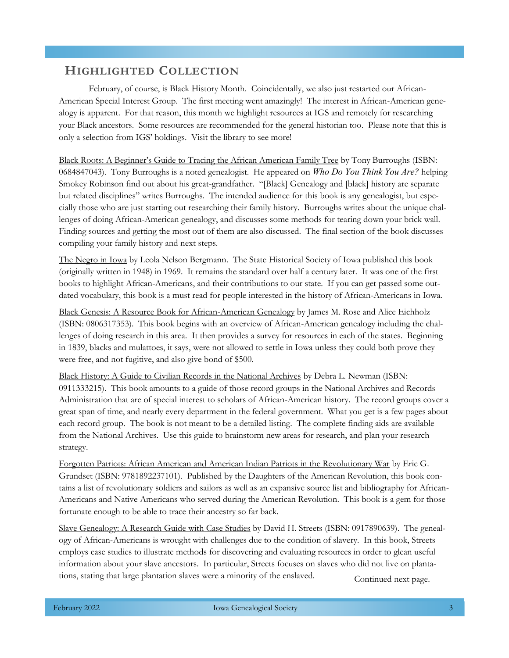# **HIGHLIGHTED COLLECTION**

February, of course, is Black History Month. Coincidentally, we also just restarted our African-American Special Interest Group. The first meeting went amazingly! The interest in African-American genealogy is apparent. For that reason, this month we highlight resources at IGS and remotely for researching your Black ancestors. Some resources are recommended for the general historian too. Please note that this is only a selection from IGS' holdings. Visit the library to see more!

Black Roots: A Beginner's Guide to Tracing the African American Family Tree by Tony Burroughs (ISBN: 0684847043). Tony Burroughs is a noted genealogist. He appeared on *Who Do You Think You Are?* helping Smokey Robinson find out about his great-grandfather. "[Black] Genealogy and [black] history are separate but related disciplines" writes Burroughs. The intended audience for this book is any genealogist, but especially those who are just starting out researching their family history. Burroughs writes about the unique challenges of doing African-American genealogy, and discusses some methods for tearing down your brick wall. Finding sources and getting the most out of them are also discussed. The final section of the book discusses compiling your family history and next steps.

The Negro in Iowa by Leola Nelson Bergmann. The State Historical Society of Iowa published this book (originally written in 1948) in 1969. It remains the standard over half a century later. It was one of the first books to highlight African-Americans, and their contributions to our state. If you can get passed some outdated vocabulary, this book is a must read for people interested in the history of African-Americans in Iowa.

Black Genesis: A Resource Book for African-American Genealogy by James M. Rose and Alice Eichholz (ISBN: 0806317353). This book begins with an overview of African-American genealogy including the challenges of doing research in this area. It then provides a survey for resources in each of the states. Beginning in 1839, blacks and mulattoes, it says, were not allowed to settle in Iowa unless they could both prove they were free, and not fugitive, and also give bond of \$500.

Black History: A Guide to Civilian Records in the National Archives by Debra L. Newman (ISBN: 0911333215). This book amounts to a guide of those record groups in the National Archives and Records Administration that are of special interest to scholars of African-American history. The record groups cover a great span of time, and nearly every department in the federal government. What you get is a few pages about each record group. The book is not meant to be a detailed listing. The complete finding aids are available from the National Archives. Use this guide to brainstorm new areas for research, and plan your research strategy.

Forgotten Patriots: African American and American Indian Patriots in the Revolutionary War by Eric G. Grundset (ISBN: 9781892237101). Published by the Daughters of the American Revolution, this book contains a list of revolutionary soldiers and sailors as well as an expansive source list and bibliography for African-Americans and Native Americans who served during the American Revolution. This book is a gem for those fortunate enough to be able to trace their ancestry so far back.

Slave Genealogy: A Research Guide with Case Studies by David H. Streets (ISBN: 0917890639). The genealogy of African-Americans is wrought with challenges due to the condition of slavery. In this book, Streets employs case studies to illustrate methods for discovering and evaluating resources in order to glean useful information about your slave ancestors. In particular, Streets focuses on slaves who did not live on plantations, stating that large plantation slaves were a minority of the enslaved. Continued next page.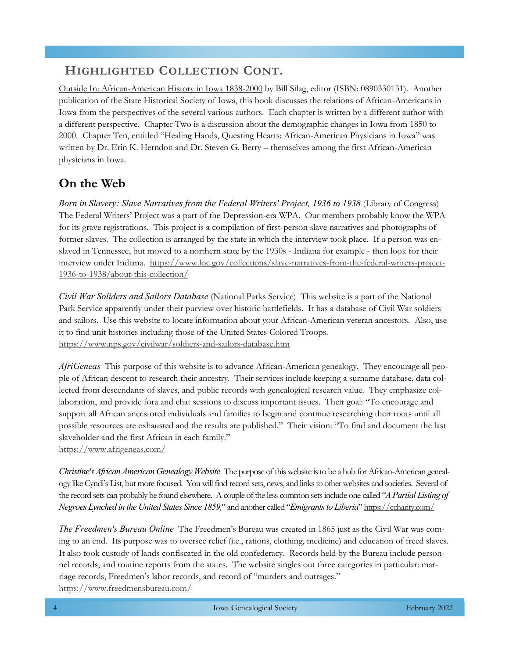# **HIGHLIGHTED COLLECTION CONT.**

Outside In: African-American History in Iowa 1838-2000 by Bill Silag, editor (ISBN: 0890330131). Another publication of the State Historical Society of Iowa, this book discusses the relations of African-Americans in Iowa from the perspectives of the several various authors. Each chapter is written by a different author with a different perspective. Chapter Two is a discussion about the demographic changes in Iowa from 1850 to 2000. Chapter Ten, entitled "Healing Hands, Questing Hearts: African-American Physicians in Iowa" was written by Dr. Erin K. Herndon and Dr. Steven G. Berry – themselves among the first African-American physicians in Iowa.

# **On the Web**

*Born in Slavery: Slave Narratives from the Federal Writers' Project, 1936 to 1938* (Library of Congress) The Federal Writers' Project was a part of the Depression-era WPA. Our members probably know the WPA for its grave registrations. This project is a compilation of first-person slave narratives and photographs of former slaves. The collection is arranged by the state in which the interview took place. If a person was enslaved in Tennessee, but moved to a northern state by the 1930s - Indiana for example - then look for their interview under Indiana. [https://www.loc.gov/collections/slave-narratives-from-the-federal-writers-project-](https://www.loc.gov/collections/slave-narratives-from-the-federal-writers-project-1936-to-1938/about-this-collection/)[1936-to-1938/about-this-collection/](https://www.loc.gov/collections/slave-narratives-from-the-federal-writers-project-1936-to-1938/about-this-collection/)

*Civil War Soliders and Sailors Database* (National Parks Service) This website is a part of the National Park Service apparently under their purview over historic battlefields. It has a database of Civil War soldiers and sailors. Use this website to locate information about your African-American veteran ancestors. Also, use it to find unit histories including those of the United States Colored Troops. <https://www.nps.gov/civilwar/soldiers-and-sailors-database.htm>

*AfriGeneas* This purpose of this website is to advance African-American genealogy. They encourage all people of African descent to research their ancestry. Their services include keeping a surname database, data collected from descendants of slaves, and public records with genealogical research value. They emphasize collaboration, and provide fora and chat sessions to discuss important issues. Their goal: "To encourage and support all African ancestored individuals and families to begin and continue researching their roots until all possible resources are exhausted and the results are published." Their vision: "To find and document the last slaveholder and the first African in each family."

<https://www.afrigeneas.com/>

*Christine's African American Genealogy Website* The purpose of this website is to be a hub for African-American genealogy like Cyndi's List, but more focused. You will find record sets, news, and links to other websites and societies. Several of the record sets can probably be found elsewhere. A couple of the less common sets include one called "*A Partial Listing of Negroes Lynched in the United States Since 1859,*" and another called "*Emigrants to Liberia*" <https://ccharity.com/>

*The Freedmen's Bureau Online* The Freedmen's Bureau was created in 1865 just as the Civil War was coming to an end. Its purpose was to oversee relief (i.e., rations, clothing, medicine) and education of freed slaves. It also took custody of lands confiscated in the old confederacy. Records held by the Bureau include personnel records, and routine reports from the states. The website singles out three categories in particular: marriage records, Freedmen's labor records, and record of "murders and outrages." <https://www.freedmensbureau.com/>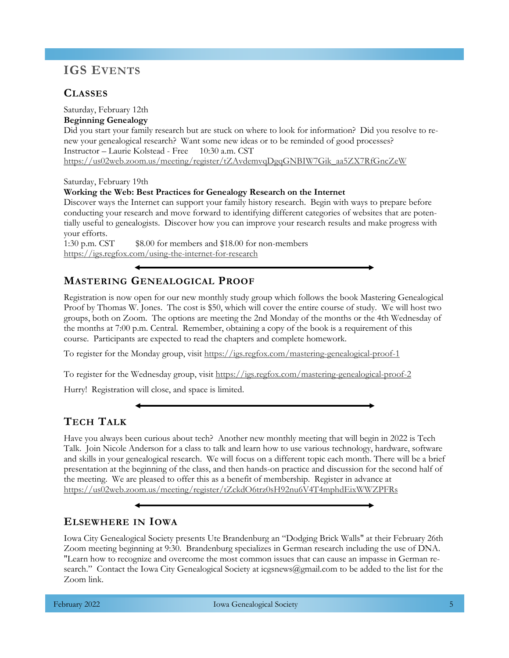# **IGS EVENTS**

# **CLASSES**

Saturday, February 12th **Beginning Genealogy** Did you start your family research but are stuck on where to look for information? Did you resolve to renew your genealogical research? Want some new ideas or to be reminded of good processes? Instructor – Laurie Kolstead - Free 10:30 a.m. CST [https://us02web.zoom.us/meeting/register/tZAvdemvqDgqGNBIW7Gik\\_aa5ZX7RfGncZeW](https://us02web.zoom.us/meeting/register/tZAvdemvqDgqGNBIW7Gik_aa5ZX7RfGncZeW)

Saturday, February 19th

#### **Working the Web: Best Practices for Genealogy Research on the Internet**

Discover ways the Internet can support your family history research. Begin with ways to prepare before conducting your research and move forward to identifying different categories of websites that are potentially useful to genealogists. Discover how you can improve your research results and make progress with your efforts.

1:30 p.m. CST  $\qquad$  \$8.00 for members and \$18.00 for non-members <https://igs.regfox.com/using-the-internet-for-research>

## **MASTERING GENEALOGICAL PROOF**

Registration is now open for our new monthly study group which follows the book Mastering Genealogical Proof by Thomas W. Jones. The cost is \$50, which will cover the entire course of study. We will host two groups, both on Zoom. The options are meeting the 2nd Monday of the months or the 4th Wednesday of the months at 7:00 p.m. Central. Remember, obtaining a copy of the book is a requirement of this course. Participants are expected to read the chapters and complete homework.

To register for the Monday group, visit <https://igs.regfox.com/mastering-genealogical-proof-1>

To register for the Wednesday group, visit <https://igs.regfox.com/mastering-genealogical-proof-2>

Hurry! Registration will close, and space is limited.

# **TECH TALK**

Have you always been curious about tech? Another new monthly meeting that will begin in 2022 is Tech Talk. Join Nicole Anderson for a class to talk and learn how to use various technology, hardware, software and skills in your genealogical research. We will focus on a different topic each month. There will be a brief presentation at the beginning of the class, and then hands-on practice and discussion for the second half of the meeting. We are pleased to offer this as a benefit of membership. Register in advance at <https://us02web.zoom.us/meeting/register/tZckdO6trz0sH92nu6V4T4mphdEixWWZPFRs>

### **ELSEWHERE IN IOWA**

Iowa City Genealogical Society presents Ute Brandenburg an "Dodging Brick Walls" at their February 26th Zoom meeting beginning at 9:30. Brandenburg specializes in German research including the use of DNA. "Learn how to recognize and overcome the most common issues that can cause an impasse in German research." Contact the Iowa City Genealogical Society at icgsnews@gmail.com to be added to the list for the Zoom link.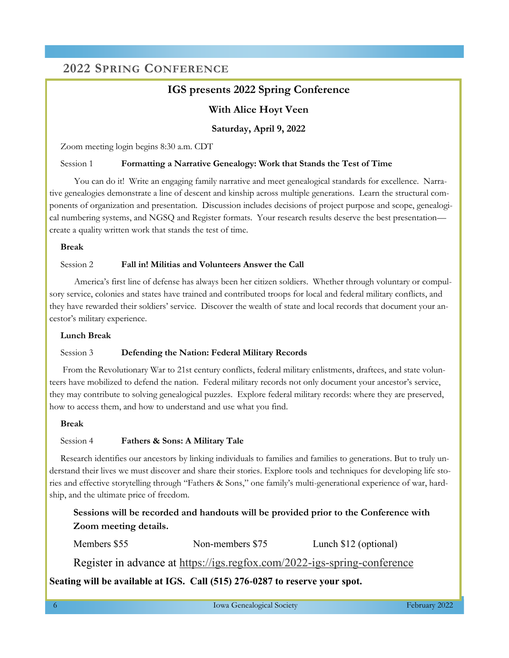# **2022 SPRING CONFERENCE**

## **IGS presents 2022 Spring Conference**

### **With Alice Hoyt Veen**

#### **Saturday, April 9, 2022**

Zoom meeting login begins 8:30 a.m. CDT

#### Session 1 **Formatting a Narrative Genealogy: Work that Stands the Test of Time**

 You can do it! Write an engaging family narrative and meet genealogical standards for excellence. Narrative genealogies demonstrate a line of descent and kinship across multiple generations. Learn the structural components of organization and presentation. Discussion includes decisions of project purpose and scope, genealogical numbering systems, and NGSQ and Register formats. Your research results deserve the best presentation create a quality written work that stands the test of time.

#### **Break**

#### Session 2 **Fall in! Militias and Volunteers Answer the Call**

 America's first line of defense has always been her citizen soldiers. Whether through voluntary or compulsory service, colonies and states have trained and contributed troops for local and federal military conflicts, and they have rewarded their soldiers' service. Discover the wealth of state and local records that document your ancestor's military experience.

#### **Lunch Break**

#### Session 3 **Defending the Nation: Federal Military Records**

From the Revolutionary War to 21st century conflicts, federal military enlistments, draftees, and state volunteers have mobilized to defend the nation. Federal military records not only document your ancestor's service, they may contribute to solving genealogical puzzles. Explore federal military records: where they are preserved, how to access them, and how to understand and use what you find.

#### **Break**

#### Session 4 **Fathers & Sons: A Military Tale**

Research identifies our ancestors by linking individuals to families and families to generations. But to truly understand their lives we must discover and share their stories. Explore tools and techniques for developing life stories and effective storytelling through "Fathers & Sons," one family's multi-generational experience of war, hardship, and the ultimate price of freedom.

**Sessions will be recorded and handouts will be provided prior to the Conference with Zoom meeting details.**

Members \$55 Non-members \$75 Lunch \$12 (optional)

Register in advance at <https://igs.regfox.com/2022-igs-spring-conference>

#### **Seating will be available at IGS. Call (515) 276-0287 to reserve your spot.**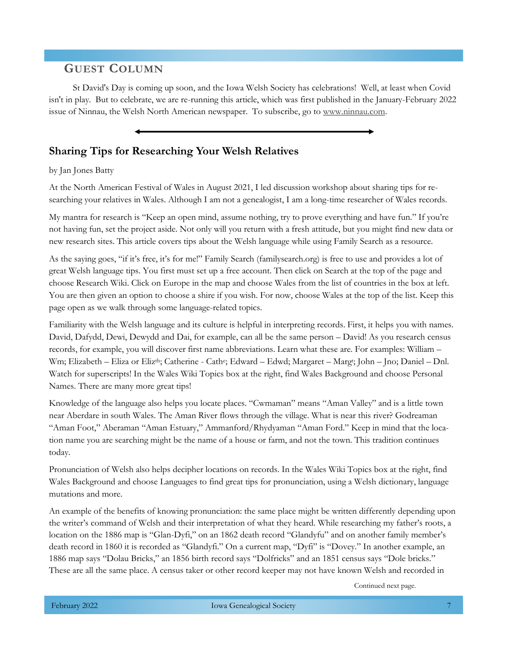# **GUEST COLUMN**

St David's Day is coming up soon, and the Iowa Welsh Society has celebrations! Well, at least when Covid isn't in play. But to celebrate, we are re-running this article, which was first published in the January-February 2022 issue of Ninnau, the Welsh North American newspaper. To subscribe, go to [www.ninnau.com.](http://www.ninnau.com/)

## **Sharing Tips for Researching Your Welsh Relatives**

#### by Jan Jones Batty

At the North American Festival of Wales in August 2021, I led discussion workshop about sharing tips for researching your relatives in Wales. Although I am not a genealogist, I am a long-time researcher of Wales records.

My mantra for research is "Keep an open mind, assume nothing, try to prove everything and have fun." If you're not having fun, set the project aside. Not only will you return with a fresh attitude, but you might find new data or new research sites. This article covers tips about the Welsh language while using Family Search as a resource.

As the saying goes, "if it's free, it's for me!" Family Search (familysearch.org) is free to use and provides a lot of great Welsh language tips. You first must set up a free account. Then click on Search at the top of the page and choose Research Wiki. Click on Europe in the map and choose Wales from the list of countries in the box at left. You are then given an option to choose a shire if you wish. For now, choose Wales at the top of the list. Keep this page open as we walk through some language-related topics.

Familiarity with the Welsh language and its culture is helpful in interpreting records. First, it helps you with names. David, Dafydd, Dewi, Dewydd and Dai, for example, can all be the same person – David! As you research census records, for example, you will discover first name abbreviations. Learn what these are. For examples: William – Wm; Elizabeth – Eliza or Eliz<sup>th</sup>; Catherine - Cath<sup>e</sup>; Edward – Edwd; Margaret – Marg<sup>t</sup>; John – Jno; Daniel – Dnl. Watch for superscripts! In the Wales Wiki Topics box at the right, find Wales Background and choose Personal Names. There are many more great tips!

Knowledge of the language also helps you locate places. "Cwmaman" means "Aman Valley" and is a little town near Aberdare in south Wales. The Aman River flows through the village. What is near this river? Godreaman "Aman Foot," Aberaman "Aman Estuary," Ammanford/Rhydyaman "Aman Ford." Keep in mind that the location name you are searching might be the name of a house or farm, and not the town. This tradition continues today.

Pronunciation of Welsh also helps decipher locations on records. In the Wales Wiki Topics box at the right, find Wales Background and choose Languages to find great tips for pronunciation, using a Welsh dictionary, language mutations and more.

An example of the benefits of knowing pronunciation: the same place might be written differently depending upon the writer's command of Welsh and their interpretation of what they heard. While researching my father's roots, a location on the 1886 map is "Glan-Dyfi," on an 1862 death record "Glandyfu" and on another family member's death record in 1860 it is recorded as "Glandyfi." On a current map, "Dyfi" is "Dovey." In another example, an 1886 map says "Dolau Bricks," an 1856 birth record says "Dolfricks" and an 1851 census says "Dole bricks." These are all the same place. A census taker or other record keeper may not have known Welsh and recorded in

Continued next page.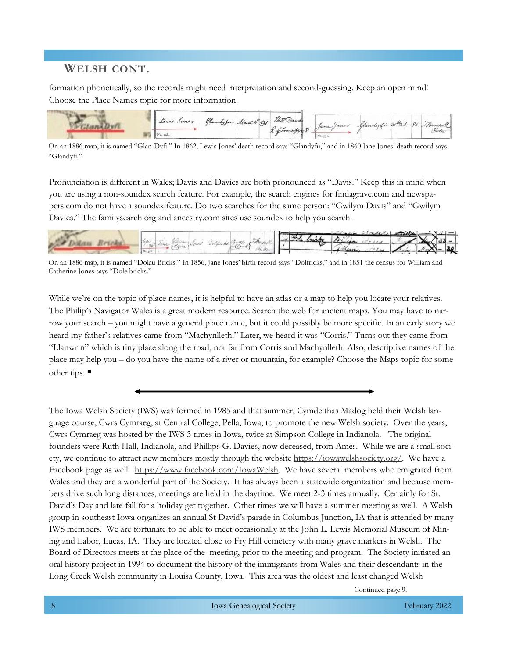# **WELSH CONT.**

formation phonetically, so the records might need interpretation and second-guessing. Keep an open mind! Choose the Place Names topic for more information.



On an 1886 map, it is named "Glan-Dyfi." In 1862, Lewis Jones' death record says "Glandyfu," and in 1860 Jane Jones' death record says "Glandyfi."

Pronunciation is different in Wales; Davis and Davies are both pronounced as "Davis." Keep this in mind when you are using a non-soundex search feature. For example, the search engines for findagrave.com and newspapers.com do not have a soundex feature. Do two searches for the same person: "Gwilym Davis" and "Gwilym Davies." The familysearch.org and ancestry.com sites use soundex to help you search.



On an 1886 map, it is named "Dolau Bricks." In 1856, Jane Jones' birth record says "Dolfricks," and in 1851 the census for William and Catherine Jones says "Dole bricks."

While we're on the topic of place names, it is helpful to have an atlas or a map to help you locate your relatives. The Philip's Navigator Wales is a great modern resource. Search the web for ancient maps. You may have to narrow your search – you might have a general place name, but it could possibly be more specific. In an early story we heard my father's relatives came from "Machynlleth." Later, we heard it was "Corris." Turns out they came from "Llanwrin" which is tiny place along the road, not far from Corris and Machynlleth. Also, descriptive names of the place may help you – do you have the name of a river or mountain, for example? Choose the Maps topic for some other tips. ■

The Iowa Welsh Society (IWS) was formed in 1985 and that summer, Cymdeithas Madog held their Welsh language course, Cwrs Cymraeg, at Central College, Pella, Iowa, to promote the new Welsh society. Over the years, Cwrs Cymraeg was hosted by the IWS 3 times in Iowa, twice at Simpson College in Indianola. The original founders were Ruth Hall, Indianola, and Phillips G. Davies, now deceased, from Ames. While we are a small society, we continue to attract new members mostly through the website [https://iowawelshsociety.org/.](https://iowawelshsociety.org/) We have a Facebook page as well. [https://www.facebook.com/IowaWelsh.](https://www.facebook.com/IowaWelsh) We have several members who emigrated from Wales and they are a wonderful part of the Society. It has always been a statewide organization and because members drive such long distances, meetings are held in the daytime. We meet 2-3 times annually. Certainly for St. David's Day and late fall for a holiday get together. Other times we will have a summer meeting as well. A Welsh group in southeast Iowa organizes an annual St David's parade in Columbus Junction, IA that is attended by many IWS members. We are fortunate to be able to meet occasionally at the John L. Lewis Memorial Museum of Mining and Labor, Lucas, IA. They are located close to Fry Hill cemetery with many grave markers in Welsh. The Board of Directors meets at the place of the meeting, prior to the meeting and program. The Society initiated an oral history project in 1994 to document the history of the immigrants from Wales and their descendants in the Long Creek Welsh community in Louisa County, Iowa. This area was the oldest and least changed Welsh

Continued page 9.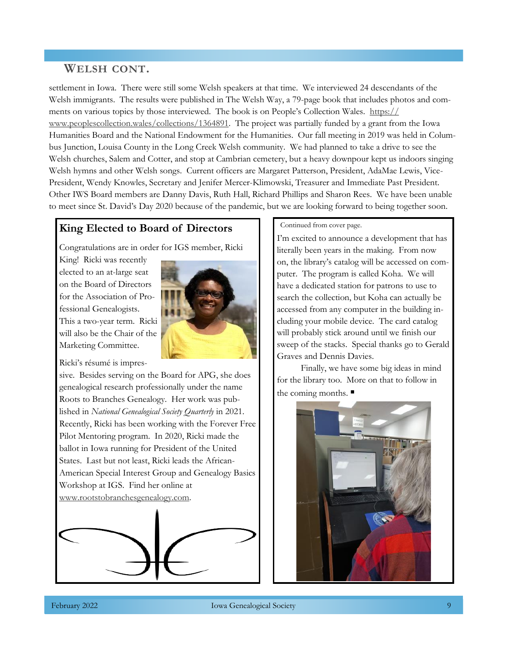# **WELSH CONT.**

settlement in Iowa. There were still some Welsh speakers at that time. We interviewed 24 descendants of the Welsh immigrants. The results were published in The Welsh Way, a 79-page book that includes photos and comments on various topics by those interviewed. The book is on People's Collection Wales. [https://](https://www.peoplescollection.wales/collections/1364891) [www.peoplescollection.wales/collections/1364891.](https://www.peoplescollection.wales/collections/1364891) The project was partially funded by a grant from the Iowa Humanities Board and the National Endowment for the Humanities. Our fall meeting in 2019 was held in Columbus Junction, Louisa County in the Long Creek Welsh community. We had planned to take a drive to see the Welsh churches, Salem and Cotter, and stop at Cambrian cemetery, but a heavy downpour kept us indoors singing Welsh hymns and other Welsh songs. Current officers are Margaret Patterson, President, AdaMae Lewis, Vice-President, Wendy Knowles, Secretary and Jenifer Mercer-Klimowski, Treasurer and Immediate Past President. Other IWS Board members are Danny Davis, Ruth Hall, Richard Phillips and Sharon Rees. We have been unable to meet since St. David's Day 2020 because of the pandemic, but we are looking forward to being together soon.

## **King Elected to Board of Directors**

Congratulations are in order for IGS member, Ricki

King! Ricki was recently elected to an at-large seat on the Board of Directors for the Association of Professional Genealogists. This a two-year term. Ricki will also be the Chair of the Marketing Committee.



Ricki's résumé is impres-

sive. Besides serving on the Board for APG, she does genealogical research professionally under the name Roots to Branches Genealogy. Her work was published in *National Genealogical Society Quarterly* in 2021. Recently, Ricki has been working with the Forever Free Pilot Mentoring program. In 2020, Ricki made the ballot in Iowa running for President of the United States. Last but not least, Ricki leads the African-American Special Interest Group and Genealogy Basics Workshop at IGS. Find her online at [www.rootstobranchesgenealogy.com.](https://www.rootstobranchesgenealogy.com/)



Continued from cover page.

I'm excited to announce a development that has literally been years in the making. From now on, the library's catalog will be accessed on computer. The program is called Koha. We will have a dedicated station for patrons to use to search the collection, but Koha can actually be accessed from any computer in the building including your mobile device. The card catalog will probably stick around until we finish our sweep of the stacks. Special thanks go to Gerald Graves and Dennis Davies.

Finally, we have some big ideas in mind for the library too. More on that to follow in the coming months. ■

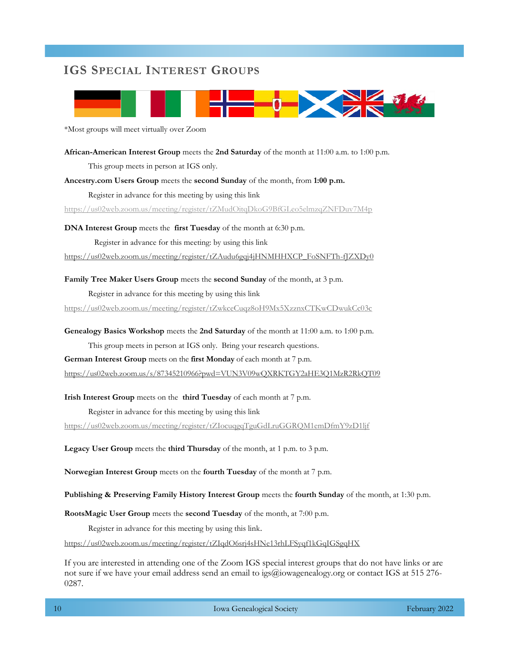# **IGS SPECIAL INTEREST GROUPS**



\*Most groups will meet virtually over Zoom

**African-American Interest Group** meets the **2nd Saturday** of the month at 11:00 a.m. to 1:00 p.m. This group meets in person at IGS only. **Ancestry.com Users Group** meets the **second Sunday** of the month, from **1:00 p.m.** 

Register in advance for this meeting by using this link

<https://us02web.zoom.us/meeting/register/tZMudOitqDkoG9BfGLeo5elmzqZNFDuv7M4p>

**DNA Interest Group** meets the **first Tuesday** of the month at 6:30 p.m. Register in advance for this meeting: by using this link

[https://us02web.zoom.us/meeting/register/tZAudu6gqj4jHNMHHXCP\\_FoSNFTh-fJZXDy0](https://us02web.zoom.us/meeting/register/tZAudu6gqj4jHNMHHXCP_FoSNFTh-fJZXDy0)

#### **Family Tree Maker Users Group** meets the **second Sunday** of the month, at 3 p.m.

Register in advance for this meeting by using this link

<https://us02web.zoom.us/meeting/register/tZwkceCuqz8oH9Mx5XzznxCTKwCDwukCc03c>

**Genealogy Basics Workshop** meets the **2nd Saturday** of the month at 11:00 a.m. to 1:00 p.m.

This group meets in person at IGS only. Bring your research questions.

**German Interest Group** meets on the **first Monday** of each month at 7 p.m.

<https://us02web.zoom.us/s/87345210966?pwd=VUN3V09wQXRKTGY2aHE3Q1MzR2RkQT09>

#### **Irish Interest Group** meets on the **third Tuesday** of each month at 7 p.m.

Register in advance for this meeting by using this link

<https://us02web.zoom.us/meeting/register/tZIocuqgqTguGdLruGGRQM1emDfmY9zD1ljf>

**Legacy User Group** meets the **third Thursday** of the month, at 1 p.m. to 3 p.m.

**Norwegian Interest Group** meets on the **fourth Tuesday** of the month at 7 p.m.

**Publishing & Preserving Family History Interest Group** meets the **fourth Sunday** of the month, at 1:30 p.m.

**RootsMagic User Group** meets the **second Tuesday** of the month, at 7:00 p.m.

Register in advance for this meeting by using this link.

<https://us02web.zoom.us/meeting/register/tZIqdO6srj4sHNe13rhLFSyqf1kGqIGSgqHX>

If you are interested in attending one of the Zoom IGS special interest groups that do not have links or are not sure if we have your email address send an email to igs@iowagenealogy.org or contact IGS at 515 276- 0287.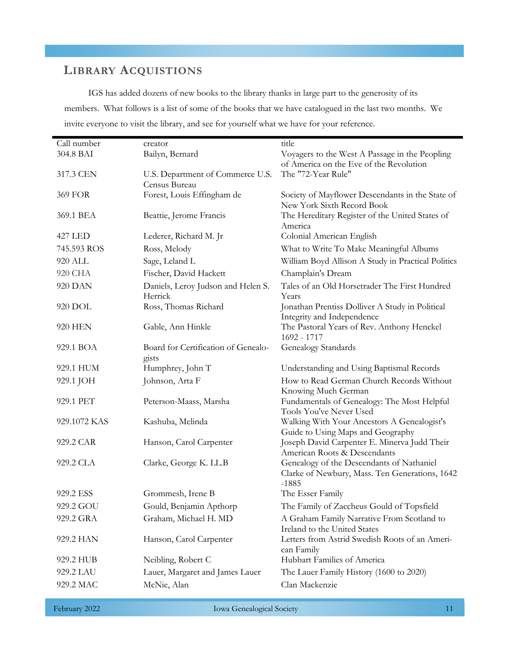# **LIBRARY ACQUISTIONS**

IGS has added dozens of new books to the library thanks in large part to the generosity of its members. What follows is a list of some of the books that we have catalogued in the last two months. We invite everyone to visit the library, and see for yourself what we have for your reference.

| Call number    | creator                                       | title                                                                                                  |
|----------------|-----------------------------------------------|--------------------------------------------------------------------------------------------------------|
| 304.8 BAI      | Bailyn, Bernard                               | Voyagers to the West A Passage in the Peopling                                                         |
|                |                                               | of America on the Eve of the Revolution                                                                |
| 317.3 CEN      | U.S. Department of Commerce U.S.              | The "72-Year Rule"                                                                                     |
|                | Census Bureau                                 |                                                                                                        |
| <b>369 FOR</b> | Forest, Louis Effingham de                    | Society of Mayflower Descendants in the State of<br>New York Sixth Record Book                         |
| 369.1 BEA      | Beattie, Jerome Francis                       | The Hereditary Register of the United States of<br>America                                             |
| <b>427 LED</b> | Lederer, Richard M. Jr                        | Colonial American English                                                                              |
| 745.593 ROS    | Ross, Melody                                  | What to Write To Make Meaningful Albums                                                                |
| 920 ALL        | Sage, Leland L                                | William Boyd Allison A Study in Practical Politics                                                     |
| 920 CHA        | Fischer, David Hackett                        | Champlain's Dream                                                                                      |
| 920 DAN        | Daniels, Leroy Judson and Helen S.<br>Herrick | Tales of an Old Horsetrader The First Hundred<br>Years                                                 |
| 920 DOL        | Ross, Thomas Richard                          | Jonathan Prentiss Dolliver A Study in Political<br>Integrity and Independence                          |
| <b>920 HEN</b> | Gable, Ann Hinkle                             | The Pastoral Years of Rev. Anthony Henckel<br>1692 - 1717                                              |
| 929.1 BOA      | Board for Certification of Genealo-<br>gists  | Genealogy Standards                                                                                    |
| 929.1 HUM      | Humphrey, John T                              | Understanding and Using Baptismal Records                                                              |
| 929.1 JOH      | Johnson, Arta F                               | How to Read German Church Records Without                                                              |
|                |                                               | Knowing Much German                                                                                    |
| 929.1 PET      | Peterson-Maass, Marsha                        | Fundamentals of Genealogy: The Most Helpful<br>Tools You've Never Used                                 |
| 929.1072 KAS   | Kashuba, Melinda                              | Walking With Your Ancestors A Genealogist's<br>Guide to Using Maps and Geography                       |
| 929.2 CAR      | Hanson, Carol Carpenter                       | Joseph David Carpenter E. Minerva Judd Their<br>American Roots & Descendants                           |
| 929.2 CLA      | Clarke, George K. LL.B                        | Genealogy of the Descendants of Nathaniel<br>Clarke of Newbury, Mass. Ten Generations, 1642<br>$-1885$ |
| 929.2 ESS      | Grommesh, Irene B                             | The Esser Family                                                                                       |
| 929.2 GOU      | Gould, Benjamin Apthorp                       | The Family of Zaccheus Gould of Topsfield                                                              |
| 929.2 GRA      | Graham, Michael H. MD                         | A Graham Family Narrative From Scotland to<br>Ireland to the United States                             |
| 929.2 HAN      | Hanson, Carol Carpenter                       | Letters from Astrid Swedish Roots of an Ameri-<br>can Family                                           |
| 929.2 HUB      | Neibling, Robert C                            | Hubbart Families of America                                                                            |
| 929.2 LAU      | Lauer, Margaret and James Lauer               | The Lauer Family History (1600 to 2020)                                                                |
| 929.2 MAC      | McNie, Alan                                   | Clan Mackenzie                                                                                         |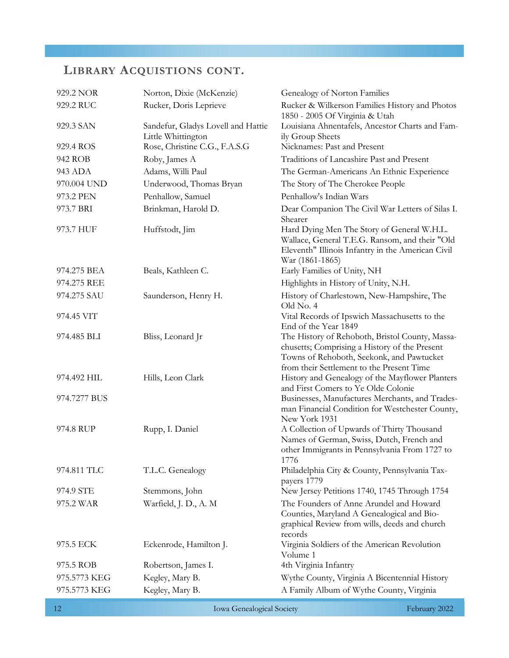# **LIBRARY ACQUISTIONS CONT.**

| 929.2 NOR    | Norton, Dixie (McKenzie)           | Genealogy of Norton Families                                                                                                                                                               |
|--------------|------------------------------------|--------------------------------------------------------------------------------------------------------------------------------------------------------------------------------------------|
| 929.2 RUC    | Rucker, Doris Leprieve             | Rucker & Wilkerson Families History and Photos<br>1850 - 2005 Of Virginia & Utah                                                                                                           |
| 929.3 SAN    | Sandefur, Gladys Lovell and Hattie | Louisiana Ahnentafels, Ancestor Charts and Fam-                                                                                                                                            |
|              | Little Whittington                 | ily Group Sheets                                                                                                                                                                           |
| 929.4 ROS    | Rose, Christine C.G., F.A.S.G      | Nicknames: Past and Present                                                                                                                                                                |
| 942 ROB      | Roby, James A                      | Traditions of Lancashire Past and Present                                                                                                                                                  |
| 943 ADA      | Adams, Willi Paul                  | The German-Americans An Ethnic Experience                                                                                                                                                  |
| 970.004 UND  | Underwood, Thomas Bryan            | The Story of The Cherokee People                                                                                                                                                           |
| 973.2 PEN    | Penhallow, Samuel                  | Penhallow's Indian Wars                                                                                                                                                                    |
| 973.7 BRI    | Brinkman, Harold D.                | Dear Companion The Civil War Letters of Silas I.<br>Shearer                                                                                                                                |
| 973.7 HUF    | Huffstodt, Jim                     | Hard Dying Men The Story of General W.H.L.<br>Wallace, General T.E.G. Ransom, and their "Old<br>Eleventh" Illinois Infantry in the American Civil<br>War (1861-1865)                       |
| 974.275 BEA  | Beals, Kathleen C.                 | Early Families of Unity, NH                                                                                                                                                                |
| 974.275 REE  |                                    | Highlights in History of Unity, N.H.                                                                                                                                                       |
| 974.275 SAU  | Saunderson, Henry H.               | History of Charlestown, New-Hampshire, The<br>Old No. 4                                                                                                                                    |
| 974.45 VIT   |                                    | Vital Records of Ipswich Massachusetts to the<br>End of the Year 1849                                                                                                                      |
| 974.485 BLI  | Bliss, Leonard Jr                  | The History of Rehoboth, Bristol County, Massa-<br>chusetts; Comprising a History of the Present<br>Towns of Rehoboth, Seekonk, and Pawtucket<br>from their Settlement to the Present Time |
| 974.492 HIL  | Hills, Leon Clark                  | History and Genealogy of the Mayflower Planters<br>and First Comers to Ye Olde Colonie                                                                                                     |
| 974.7277 BUS |                                    | Businesses, Manufactures Merchants, and Trades-<br>man Financial Condition for Westchester County,<br>New York 1931                                                                        |
| 974.8 RUP    | Rupp, I. Daniel                    | A Collection of Upwards of Thirty Thousand<br>Names of German, Swiss, Dutch, French and<br>other Immigrants in Pennsylvania From 1727 to<br>1776                                           |
| 974.811 TLC  | T.L.C. Genealogy                   | Philadelphia City & County, Pennsylvania Tax-<br>payers 1779                                                                                                                               |
| 974.9 STE    | Stemmons, John                     | New Jersey Petitions 1740, 1745 Through 1754                                                                                                                                               |
| 975.2 WAR    | Warfield, J. D., A. M              | The Founders of Anne Arundel and Howard<br>Counties, Maryland A Genealogical and Bio-<br>graphical Review from wills, deeds and church<br>records                                          |
| 975.5 ECK    | Eckenrode, Hamilton J.             | Virginia Soldiers of the American Revolution<br>Volume 1                                                                                                                                   |
| 975.5 ROB    | Robertson, James I.                | 4th Virginia Infantry                                                                                                                                                                      |
| 975.5773 KEG | Kegley, Mary B.                    | Wythe County, Virginia A Bicentennial History                                                                                                                                              |
| 975.5773 KEG | Kegley, Mary B.                    | A Family Album of Wythe County, Virginia                                                                                                                                                   |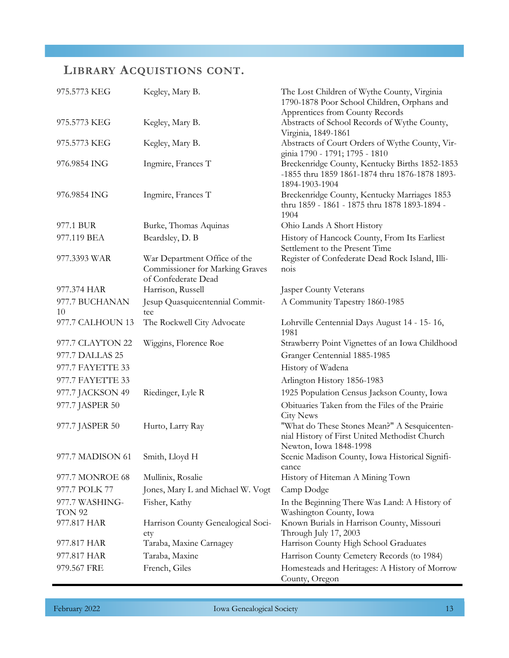# **LIBRARY ACQUISTIONS CONT.**

| 975.5773 KEG                    | Kegley, Mary B.                                                                               | The Lost Children of Wythe County, Virginia<br>1790-1878 Poor School Children, Orphans and                              |
|---------------------------------|-----------------------------------------------------------------------------------------------|-------------------------------------------------------------------------------------------------------------------------|
| 975.5773 KEG                    | Kegley, Mary B.                                                                               | Apprentices from County Records<br>Abstracts of School Records of Wythe County,<br>Virginia, 1849-1861                  |
| 975.5773 KEG                    | Kegley, Mary B.                                                                               | Abstracts of Court Orders of Wythe County, Vir-<br>ginia 1790 - 1791; 1795 - 1810                                       |
| 976.9854 ING                    | Ingmire, Frances T                                                                            | Breckenridge County, Kentucky Births 1852-1853<br>-1855 thru 1859 1861-1874 thru 1876-1878 1893-<br>1894-1903-1904      |
| 976.9854 ING                    | Ingmire, Frances T                                                                            | Breckenridge County, Kentucky Marriages 1853<br>thru 1859 - 1861 - 1875 thru 1878 1893-1894 -<br>1904                   |
| 977.1 BUR                       | Burke, Thomas Aquinas                                                                         | Ohio Lands A Short History                                                                                              |
| 977.119 BEA                     | Beardsley, D. B                                                                               | History of Hancock County, From Its Earliest<br>Settlement to the Present Time                                          |
| 977.3393 WAR                    | War Department Office of the<br><b>Commissioner for Marking Graves</b><br>of Confederate Dead | Register of Confederate Dead Rock Island, Illi-<br>nois                                                                 |
| 977.374 HAR                     | Harrison, Russell                                                                             | <b>Jasper County Veterans</b>                                                                                           |
| 977.7 BUCHANAN<br>10            | Jesup Quasquicentennial Commit-<br>tee                                                        | A Community Tapestry 1860-1985                                                                                          |
| 977.7 CALHOUN 13                | The Rockwell City Advocate                                                                    | Lohrville Centennial Days August 14 - 15-16,<br>1981                                                                    |
| 977.7 CLAYTON 22                | Wiggins, Florence Roe                                                                         | Strawberry Point Vignettes of an Iowa Childhood                                                                         |
| 977.7 DALLAS 25                 |                                                                                               | Granger Centennial 1885-1985                                                                                            |
| 977.7 FAYETTE 33                |                                                                                               | History of Wadena                                                                                                       |
| 977.7 FAYETTE 33                |                                                                                               | Arlington History 1856-1983                                                                                             |
| 977.7 JACKSON 49                | Riedinger, Lyle R                                                                             | 1925 Population Census Jackson County, Iowa                                                                             |
| 977.7 JASPER 50                 |                                                                                               | Obituaries Taken from the Files of the Prairie<br><b>City News</b>                                                      |
| 977.7 JASPER 50                 | Hurto, Larry Ray                                                                              | "What do These Stones Mean?" A Sesquicenten-<br>nial History of First United Methodist Church<br>Newton, Iowa 1848-1998 |
| 977.7 MADISON 61 Smith, Lloyd H |                                                                                               | Scenic Madison County, Iowa Historical Signifi-<br>cance                                                                |
| 977.7 MONROE 68                 | Mullinix, Rosalie                                                                             | History of Hiteman A Mining Town                                                                                        |
| 977.7 POLK 77                   | Jones, Mary L and Michael W. Vogt                                                             | Camp Dodge                                                                                                              |
| 977.7 WASHING-                  | Fisher, Kathy                                                                                 | In the Beginning There Was Land: A History of                                                                           |
| TON 92                          |                                                                                               | Washington County, Iowa                                                                                                 |
| 977.817 HAR                     | Harrison County Genealogical Soci-<br>ety                                                     | Known Burials in Harrison County, Missouri<br>Through July 17, 2003                                                     |
| 977.817 HAR                     | Taraba, Maxine Carnagey                                                                       | Harrison County High School Graduates                                                                                   |
| 977.817 HAR                     | Taraba, Maxine                                                                                | Harrison County Cemetery Records (to 1984)                                                                              |
| 979.567 FRE                     | French, Giles                                                                                 | Homesteads and Heritages: A History of Morrow<br>County, Oregon                                                         |